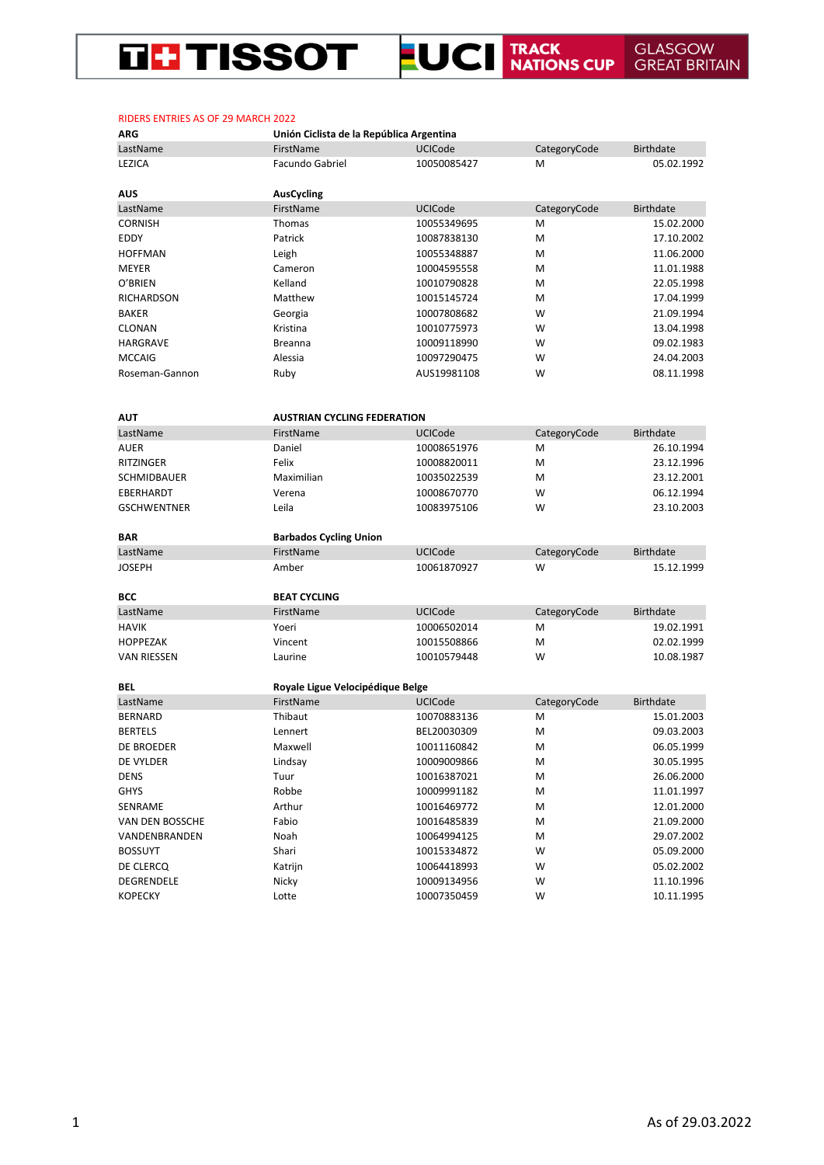### **EUCI TRACK GLASGOW**<br>**EUCI NATIONS CUP** GREAT BRITAIN **THE TISSOT**

| ייי                | omon ciciista de la Republica Argentinia |             |              |                  |
|--------------------|------------------------------------------|-------------|--------------|------------------|
| LastName           | FirstName                                | UCICode     | CategoryCode | <b>Birthdate</b> |
| LEZICA             | Facundo Gabriel                          | 10050085427 | M            | 05.02.1992       |
|                    |                                          |             |              |                  |
| <b>AUS</b>         | <b>AusCycling</b>                        |             |              |                  |
| LastName           | FirstName                                | UCICode     | CategoryCode | <b>Birthdate</b> |
| <b>CORNISH</b>     | Thomas                                   | 10055349695 | М            | 15.02.2000       |
| EDDY               | Patrick                                  | 10087838130 | M            | 17.10.2002       |
| <b>HOFFMAN</b>     | Leigh                                    | 10055348887 | М            | 11.06.2000       |
| MEYER              | Cameron                                  | 10004595558 | М            | 11.01.1988       |
| O'BRIEN            | Kelland                                  | 10010790828 | М            | 22.05.1998       |
| <b>RICHARDSON</b>  | Matthew                                  | 10015145724 | М            | 17.04.1999       |
| <b>BAKER</b>       | Georgia                                  | 10007808682 | W            | 21.09.1994       |
| <b>CLONAN</b>      | Kristina                                 | 10010775973 | W            | 13.04.1998       |
| HARGRAVE           | <b>Breanna</b>                           | 10009118990 | W            | 09.02.1983       |
| <b>MCCAIG</b>      | Alessia                                  | 10097290475 | W            | 24.04.2003       |
| Roseman-Gannon     | Ruby                                     | AUS19981108 | W            | 08.11.1998       |
|                    |                                          |             |              |                  |
|                    |                                          |             |              |                  |
| <b>AUT</b>         | <b>AUSTRIAN CYCLING FEDERATION</b>       |             |              |                  |
| LastName           | FirstName                                | UCICode     | CategoryCode | <b>Birthdate</b> |
| <b>AUER</b>        | Daniel                                   | 10008651976 | М            | 26.10.1994       |
| <b>RITZINGER</b>   | Felix                                    | 10008820011 | М            | 23.12.1996       |
| SCHMIDBAUER        | Maximilian                               | 10035022539 | Μ            | 23.12.2001       |
| EBERHARDT          | Verena                                   | 10008670770 | W            | 06.12.1994       |
| <b>GSCHWENTNER</b> | Leila                                    | 10083975106 | W            | 23.10.2003       |
|                    |                                          |             |              |                  |
| <b>BAR</b>         | <b>Barbados Cycling Union</b>            |             |              |                  |
| LastName           | FirstName                                | UCICode     | CategoryCode | <b>Birthdate</b> |
| <b>JOSEPH</b>      | Amber                                    | 10061870927 | W            | 15.12.1999       |
|                    |                                          |             |              |                  |
| <b>BCC</b>         | <b>BEAT CYCLING</b>                      |             |              |                  |
| LastName           | FirstName                                | UCICode     | CategoryCode | <b>Birthdate</b> |
| <b>HAVIK</b>       | Yoeri                                    | 10006502014 | Μ            | 19.02.1991       |
| <b>HOPPEZAK</b>    | Vincent                                  | 10015508866 | Μ            | 02.02.1999       |
| <b>VAN RIESSEN</b> | Laurine                                  | 10010579448 | W            | 10.08.1987       |
|                    |                                          |             |              |                  |
| BEL                | Royale Ligue Velocipédique Belge         |             |              |                  |
| LastName           | FirstName                                | UCICode     | CategoryCode | <b>Birthdate</b> |
| <b>BERNARD</b>     | Thibaut                                  | 10070883136 | Μ            | 15.01.2003       |
| <b>BERTELS</b>     | Lennert                                  | BEL20030309 | М            | 09.03.2003       |
| <b>DE BROEDER</b>  | Maxwell                                  | 10011160842 | М            | 06.05.1999       |
| DE VYLDER          | Lindsay                                  | 10009009866 | М            | 30.05.1995       |
| <b>DENS</b>        | Tuur                                     | 10016387021 | М            | 26.06.2000       |
| <b>GHYS</b>        | Robbe                                    | 10009991182 | Μ            | 11.01.1997       |
| SENRAME            | Arthur                                   | 10016469772 | Μ            | 12.01.2000       |
| VAN DEN BOSSCHE    | Fabio                                    | 10016485839 | Μ            | 21.09.2000       |
| VANDENBRANDEN      | Noah                                     | 10064994125 | М            | 29.07.2002       |
| <b>BOSSUYT</b>     | Shari                                    | 10015334872 | W            | 05.09.2000       |
| DE CLERCQ          | Katrijn                                  | 10064418993 | W            | 05.02.2002       |
|                    |                                          |             |              |                  |

DEGRENDELE Nicky 10009134956 W 11.10.1996 KOPECKY Lotte 10007350459 W 10.11.1995

## RIDERS ENTRIES AS OF 29 MARCH 2022

**ARG Unión Ciclista de la República Argentina**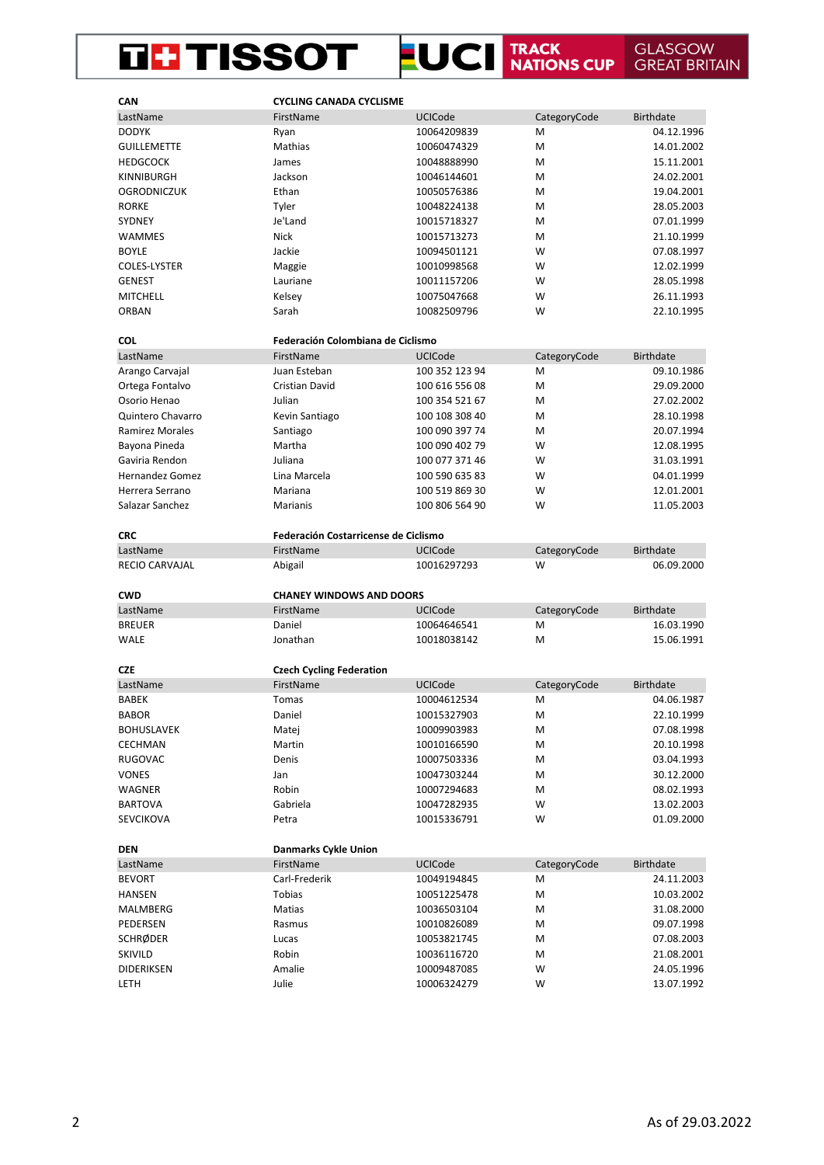#### **LUCI** TRACK NATIONS CUP **THE TISSOT GLASGOW<br>GREAT BRITAIN**

| CAN                    | <b>CYCLING CANADA CYCLISME</b>               |                            |                   |                          |
|------------------------|----------------------------------------------|----------------------------|-------------------|--------------------------|
| LastName               | FirstName                                    | <b>UCICode</b>             | CategoryCode      | <b>Birthdate</b>         |
| <b>DODYK</b>           | Ryan                                         | 10064209839                | M                 | 04.12.1996               |
| <b>GUILLEMETTE</b>     | Mathias                                      | 10060474329                | M                 | 14.01.2002               |
| <b>HEDGCOCK</b>        | James                                        | 10048888990                | M                 | 15.11.2001               |
| KINNIBURGH             | Jackson                                      | 10046144601                | M                 | 24.02.2001               |
| <b>OGRODNICZUK</b>     | Ethan                                        | 10050576386                | M                 | 19.04.2001               |
| <b>RORKE</b>           | Tyler                                        | 10048224138                | M                 | 28.05.2003               |
| SYDNEY                 | Je'Land                                      | 10015718327                | M                 | 07.01.1999               |
| <b>WAMMES</b>          | <b>Nick</b>                                  | 10015713273                | M                 | 21.10.1999               |
| <b>BOYLE</b>           | Jackie                                       | 10094501121                | W                 | 07.08.1997               |
| COLES-LYSTER           | Maggie                                       | 10010998568                | W                 | 12.02.1999               |
| <b>GENEST</b>          | Lauriane                                     | 10011157206                | W                 | 28.05.1998               |
| <b>MITCHELL</b>        | Kelsey                                       | 10075047668                | W                 | 26.11.1993               |
| <b>ORBAN</b>           | Sarah                                        | 10082509796                | W                 | 22.10.1995               |
| <b>COL</b>             | Federación Colombiana de Ciclismo            |                            |                   |                          |
| LastName               | FirstName                                    | <b>UCICode</b>             | CategoryCode      | <b>Birthdate</b>         |
| Arango Carvajal        | Juan Esteban                                 | 100 352 123 94             | M                 | 09.10.1986               |
| Ortega Fontalvo        | <b>Cristian David</b>                        | 100 616 556 08             | M                 | 29.09.2000               |
| Osorio Henao           | Julian                                       | 100 354 521 67             | M                 | 27.02.2002               |
| Quintero Chavarro      | Kevin Santiago                               | 100 108 308 40             | M                 | 28.10.1998               |
| <b>Ramirez Morales</b> | Santiago                                     | 100 090 397 74             | M                 | 20.07.1994               |
| Bayona Pineda          | Martha                                       | 100 090 402 79             | W                 | 12.08.1995               |
| Gaviria Rendon         | Juliana                                      | 100 077 371 46             | W                 | 31.03.1991               |
| <b>Hernandez Gomez</b> | Lina Marcela                                 |                            | W                 | 04.01.1999               |
|                        |                                              | 100 590 635 83             |                   |                          |
| Herrera Serrano        | Mariana                                      | 100 519 869 30             | W<br>W            | 12.01.2001               |
| Salazar Sanchez        | Marianis                                     | 100 806 564 90             |                   | 11.05.2003               |
| <b>CRC</b>             | <b>Federación Costarricense de Ciclismo</b>  |                            |                   |                          |
|                        |                                              |                            |                   |                          |
| LastName               | FirstName                                    | <b>UCICode</b>             | CategoryCode      | <b>Birthdate</b>         |
| <b>RECIO CARVAJAL</b>  | Abigail                                      | 10016297293                | W                 | 06.09.2000               |
| <b>CWD</b>             |                                              |                            |                   |                          |
| LastName               | <b>CHANEY WINDOWS AND DOORS</b><br>FirstName | <b>UCICode</b>             |                   | <b>Birthdate</b>         |
| <b>BREUER</b>          | Daniel                                       | 10064646541                | CategoryCode<br>M | 16.03.1990               |
|                        |                                              |                            | M                 |                          |
| <b>WALE</b>            | Jonathan                                     | 10018038142                |                   | 15.06.1991               |
| <b>CZE</b>             | <b>Czech Cycling Federation</b>              |                            |                   |                          |
| LastName               | FirstName                                    | <b>UCICode</b>             | CategoryCode      | <b>Birthdate</b>         |
| <b>BABEK</b>           | Tomas                                        | 10004612534                | M                 | 04.06.1987               |
| <b>BABOR</b>           | Daniel                                       | 10015327903                | M                 | 22.10.1999               |
| <b>BOHUSLAVEK</b>      | Matej                                        | 10009903983                | M                 | 07.08.1998               |
| CECHMAN                | Martin                                       | 10010166590                | M                 | 20.10.1998               |
| RUGOVAC                | Denis                                        | 10007503336                | M                 | 03.04.1993               |
| <b>VONES</b>           | Jan                                          | 10047303244                | M                 | 30.12.2000               |
| WAGNER                 | Robin                                        | 10007294683                | M                 | 08.02.1993               |
| <b>BARTOVA</b>         | Gabriela                                     | 10047282935                | W                 | 13.02.2003               |
| <b>SEVCIKOVA</b>       | Petra                                        | 10015336791                | W                 | 01.09.2000               |
|                        |                                              |                            |                   |                          |
| <b>DEN</b>             | <b>Danmarks Cykle Union</b>                  |                            |                   |                          |
| LastName               | FirstName                                    | UCICode                    | CategoryCode      | <b>Birthdate</b>         |
| <b>BEVORT</b>          | Carl-Frederik                                | 10049194845                | M                 | 24.11.2003               |
| <b>HANSEN</b>          | Tobias                                       | 10051225478                | M                 | 10.03.2002               |
| MALMBERG               | Matias                                       | 10036503104                | M                 | 31.08.2000               |
| PEDERSEN               | Rasmus                                       | 10010826089                | M                 | 09.07.1998               |
| <b>SCHRØDER</b>        | Lucas                                        | 10053821745                | M                 | 07.08.2003               |
| SKIVILD                | Robin                                        | 10036116720                | M                 | 21.08.2001               |
| DIDERIKSEN<br>LETH     | Amalie<br>Julie                              | 10009487085<br>10006324279 | W<br>W            | 24.05.1996<br>13.07.1992 |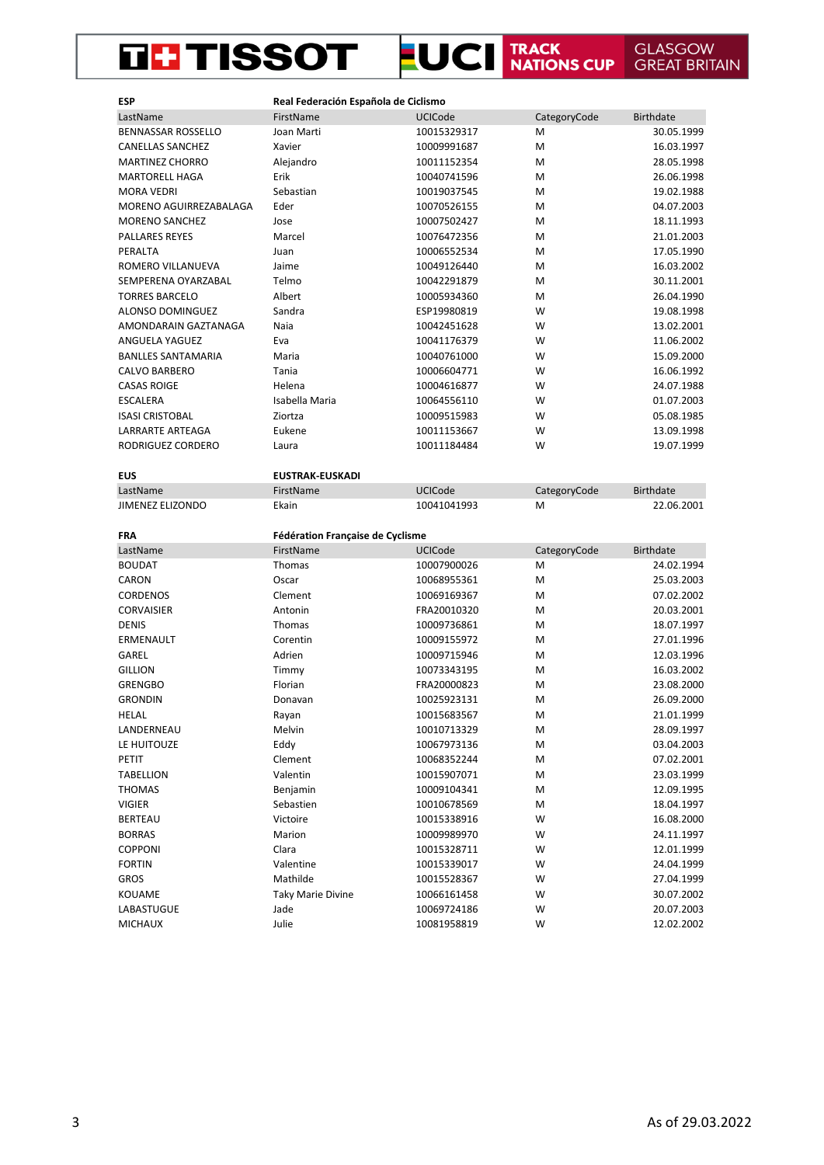#### **LUCI TRACK NATIONS CUP THE TISSOT GLASGOW GREAT BRITAIN**

| <b>ESP</b>                | Real Federación Española de Ciclismo |                |              |                  |
|---------------------------|--------------------------------------|----------------|--------------|------------------|
| LastName                  | FirstName                            | UCICode        | CategoryCode | <b>Birthdate</b> |
| <b>BENNASSAR ROSSELLO</b> | Joan Marti                           | 10015329317    | Μ            | 30.05.1999       |
| <b>CANELLAS SANCHEZ</b>   | Xavier                               | 10009991687    | M            | 16.03.1997       |
| <b>MARTINEZ CHORRO</b>    | Alejandro                            | 10011152354    | M            | 28.05.1998       |
| <b>MARTORELL HAGA</b>     | Erik                                 | 10040741596    | M            | 26.06.1998       |
| <b>MORA VEDRI</b>         | Sebastian                            | 10019037545    | M            | 19.02.1988       |
| MORENO AGUIRREZABALAGA    | Eder                                 | 10070526155    | М            | 04.07.2003       |
| <b>MORENO SANCHEZ</b>     | Jose                                 | 10007502427    | M            | 18.11.1993       |
| <b>PALLARES REYES</b>     | Marcel                               | 10076472356    | M            | 21.01.2003       |
| PERALTA                   | Juan                                 | 10006552534    | M            | 17.05.1990       |
| ROMERO VILLANUEVA         | Jaime                                | 10049126440    | M            | 16.03.2002       |
| SEMPERENA OYARZABAL       | Telmo                                | 10042291879    | М            | 30.11.2001       |
| <b>TORRES BARCELO</b>     | Albert                               | 10005934360    | M            | 26.04.1990       |
| ALONSO DOMINGUEZ          | Sandra                               | ESP19980819    | W            | 19.08.1998       |
| AMONDARAIN GAZTANAGA      | Naia                                 | 10042451628    | W            | 13.02.2001       |
| ANGUELA YAGUEZ            | Eva                                  | 10041176379    | W            | 11.06.2002       |
| <b>BANLLES SANTAMARIA</b> | Maria                                | 10040761000    | W            | 15.09.2000       |
| <b>CALVO BARBERO</b>      | Tania                                | 10006604771    | W            | 16.06.1992       |
| <b>CASAS ROIGE</b>        | Helena                               | 10004616877    | W            | 24.07.1988       |
| <b>ESCALERA</b>           | Isabella Maria                       | 10064556110    | W            | 01.07.2003       |
| <b>ISASI CRISTOBAL</b>    | Ziortza                              | 10009515983    | W            | 05.08.1985       |
| LARRARTE ARTEAGA          | Eukene                               | 10011153667    | W            | 13.09.1998       |
| RODRIGUEZ CORDERO         | Laura                                | 10011184484    | W            | 19.07.1999       |
|                           |                                      |                |              |                  |
| <b>EUS</b>                | <b>EUSTRAK-EUSKADI</b>               |                |              |                  |
| LastName                  | FirstName                            | <b>UCICode</b> | CategoryCode | <b>Birthdate</b> |
| JIMENEZ ELIZONDO          | Ekain                                | 10041041993    | Μ            | 22.06.2001       |
|                           |                                      |                |              |                  |
| <b>FRA</b>                | Fédération Française de Cyclisme     |                |              |                  |
| LastName                  | FirstName                            | UCICode        | CategoryCode | <b>Birthdate</b> |
| <b>BOUDAT</b>             | Thomas                               | 10007900026    | M            | 24.02.1994       |
| CARON                     | Oscar                                | 10068955361    | M            | 25.03.2003       |
| <b>CORDENOS</b>           | Clement                              | 10069169367    | M            | 07.02.2002       |
| <b>CORVAISIER</b>         | Antonin                              | FRA20010320    | M            | 20.03.2001       |
| <b>DENIS</b>              | Thomas                               | 10009736861    | M            | 18.07.1997       |
| ERMENAULT                 | Corentin                             | 10009155972    | M            | 27.01.1996       |
| GAREL                     | Adrien                               | 10009715946    | М            | 12.03.1996       |
| <b>GILLION</b>            | Timmy                                | 10073343195    | M            | 16.03.2002       |
| <b>GRENGBO</b>            | Florian                              | FRA20000823    | M            | 23.08.2000       |
| <b>GRONDIN</b>            | Donavan                              | 10025923131    | M            | 26.09.2000       |
| HELAL                     | Rayan                                | 10015683567    | M            | 21.01.1999       |
| LANDERNEAU                | Melvin                               | 10010713329    | М            | 28.09.1997       |
| LE HUITOUZE               | Eddy                                 | 10067973136    | M            | 03.04.2003       |
| PETIT                     | Clement                              | 10068352244    | M            | 07.02.2001       |
| TABELLION                 | Valentin                             | 10015907071    | М            | 23.03.1999       |
| <b>THOMAS</b>             | Benjamin                             | 10009104341    | M            | 12.09.1995       |
| VIGIER                    | Sebastien                            | 10010678569    | М            | 18.04.1997       |
| <b>BERTEAU</b>            | Victoire                             | 10015338916    | W            | 16.08.2000       |
| <b>BORRAS</b>             | Marion                               | 10009989970    | W            | 24.11.1997       |
| COPPONI                   | Clara                                | 10015328711    | W            | 12.01.1999       |
| <b>FORTIN</b>             |                                      |                |              |                  |
|                           | Valentine                            | 10015339017    | W            | 24.04.1999       |
| GROS                      | Mathilde                             | 10015528367    | W            | 27.04.1999       |
| KOUAME                    | <b>Taky Marie Divine</b>             | 10066161458    | W            | 30.07.2002       |
| LABASTUGUE                | Jade                                 | 10069724186    | W            | 20.07.2003       |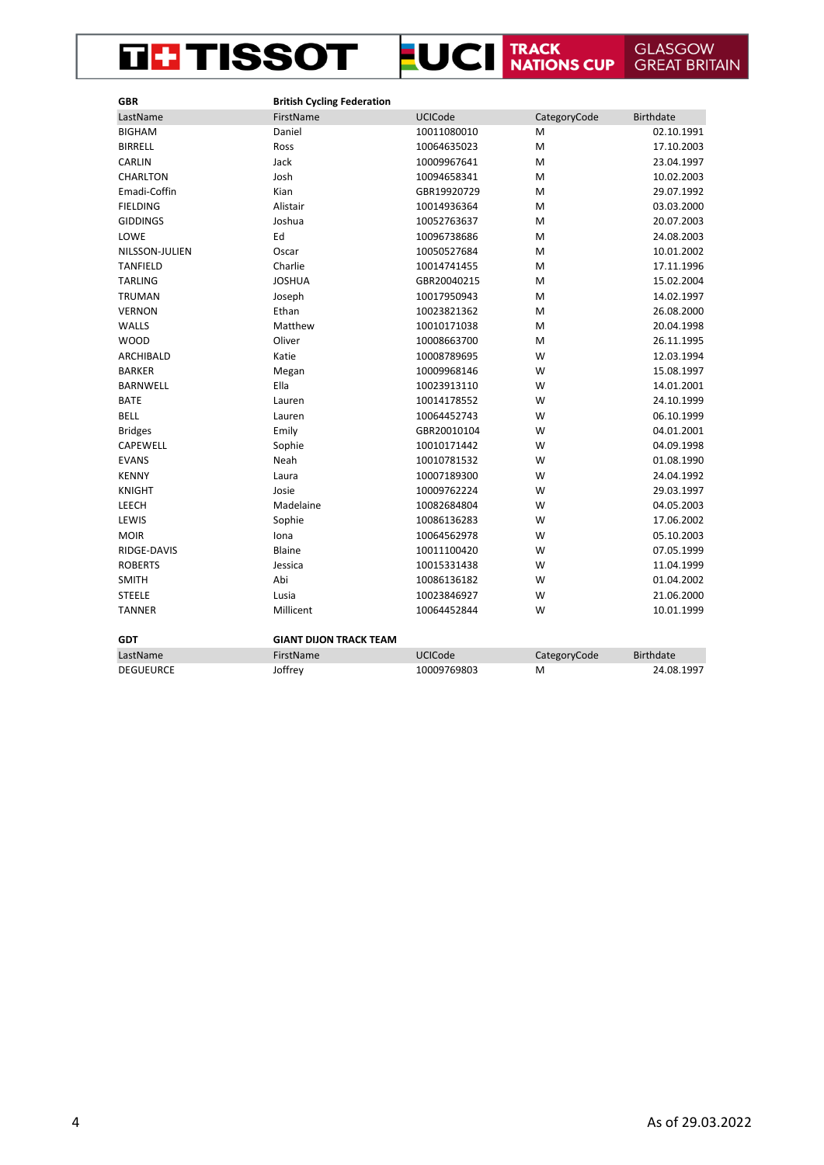## **EUCI TRACK GLASGOW GREAT BRITAIN THE TISSOT**

| <b>GBR</b>       | <b>British Cycling Federation</b> |                |              |                  |
|------------------|-----------------------------------|----------------|--------------|------------------|
| LastName         | FirstName                         | <b>UCICode</b> | CategoryCode | <b>Birthdate</b> |
| <b>BIGHAM</b>    | Daniel                            | 10011080010    | M            | 02.10.1991       |
| <b>BIRRELL</b>   | Ross                              | 10064635023    | M            | 17.10.2003       |
| CARLIN           | Jack                              | 10009967641    | M            | 23.04.1997       |
| CHARLTON         | Josh                              | 10094658341    | M            | 10.02.2003       |
| Emadi-Coffin     | Kian                              | GBR19920729    | M            | 29.07.1992       |
| <b>FIELDING</b>  | Alistair                          | 10014936364    | M            | 03.03.2000       |
| <b>GIDDINGS</b>  | Joshua                            | 10052763637    | M            | 20.07.2003       |
| LOWE             | Ed                                | 10096738686    | M            | 24.08.2003       |
| NILSSON-JULIEN   | Oscar                             | 10050527684    | M            | 10.01.2002       |
| <b>TANFIELD</b>  | Charlie                           | 10014741455    | M            | 17.11.1996       |
| <b>TARLING</b>   | <b>JOSHUA</b>                     | GBR20040215    | M            | 15.02.2004       |
| TRUMAN           | Joseph                            | 10017950943    | M            | 14.02.1997       |
| <b>VERNON</b>    | Ethan                             | 10023821362    | M            | 26.08.2000       |
| <b>WALLS</b>     | Matthew                           | 10010171038    | M            | 20.04.1998       |
| <b>WOOD</b>      | Oliver                            | 10008663700    | M            | 26.11.1995       |
| <b>ARCHIBALD</b> | Katie                             | 10008789695    | W            | 12.03.1994       |
| <b>BARKER</b>    | Megan                             | 10009968146    | W            | 15.08.1997       |
| <b>BARNWELL</b>  | Ella                              | 10023913110    | W            | 14.01.2001       |
| <b>BATE</b>      | Lauren                            | 10014178552    | W            | 24.10.1999       |
| <b>BELL</b>      | Lauren                            | 10064452743    | W            | 06.10.1999       |
| <b>Bridges</b>   | Emily                             | GBR20010104    | W            | 04.01.2001       |
| CAPEWELL         | Sophie                            | 10010171442    | W            | 04.09.1998       |
| <b>EVANS</b>     | Neah                              | 10010781532    | W            | 01.08.1990       |
| <b>KENNY</b>     | Laura                             | 10007189300    | W            | 24.04.1992       |
| <b>KNIGHT</b>    | Josie                             | 10009762224    | W            | 29.03.1997       |
| LEECH            | Madelaine                         | 10082684804    | W            | 04.05.2003       |
| LEWIS            | Sophie                            | 10086136283    | W            | 17.06.2002       |
| <b>MOIR</b>      | Iona                              | 10064562978    | W            | 05.10.2003       |
| RIDGE-DAVIS      | Blaine                            | 10011100420    | W            | 07.05.1999       |
| <b>ROBERTS</b>   | Jessica                           | 10015331438    | W            | 11.04.1999       |
| <b>SMITH</b>     | Abi                               | 10086136182    | W            | 01.04.2002       |
| <b>STEELE</b>    | Lusia                             | 10023846927    | W            | 21.06.2000       |
| <b>TANNER</b>    | Millicent                         | 10064452844    | W            | 10.01.1999       |
| <b>GDT</b>       | <b>GIANT DIJON TRACK TEAM</b>     |                |              |                  |
| LastName         | FirstName                         | <b>UCICode</b> | CategoryCode | <b>Birthdate</b> |
| <b>DEGUEURCE</b> | Joffrey                           | 10009769803    | M            | 24.08.1997       |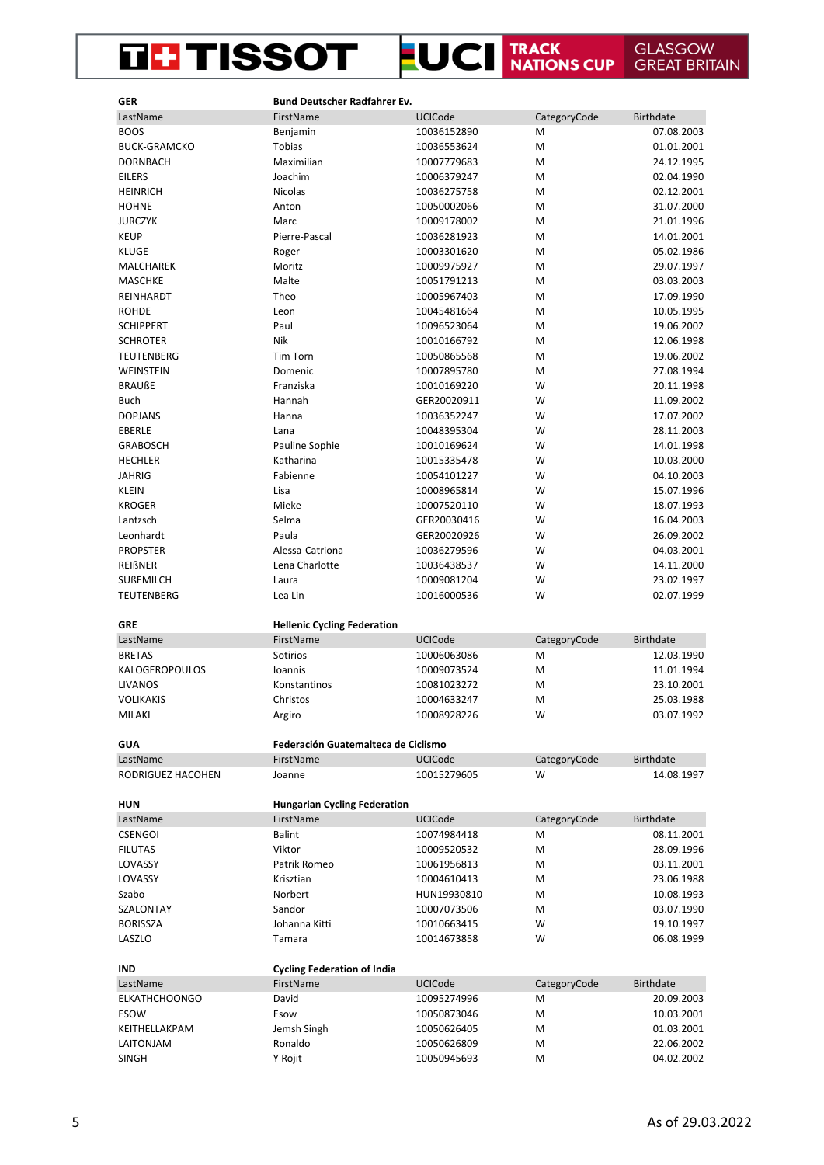## THE TISSOT LUCI TRACK GLASGOW GREAT BRITAIN

| <b>GER</b>           | Bund Deutscher Radfahrer Ev.        |                |              |                          |
|----------------------|-------------------------------------|----------------|--------------|--------------------------|
| LastName             | FirstName                           | UCICode        | CategoryCode | <b>Birthdate</b>         |
| <b>BOOS</b>          | Benjamin                            | 10036152890    | M            | 07.08.2003               |
| <b>BUCK-GRAMCKO</b>  | Tobias                              | 10036553624    | M            | 01.01.2001               |
| <b>DORNBACH</b>      | Maximilian                          | 10007779683    | M            | 24.12.1995               |
| <b>EILERS</b>        | Joachim                             | 10006379247    | M            | 02.04.1990               |
| <b>HEINRICH</b>      | Nicolas                             | 10036275758    | M            | 02.12.2001               |
| <b>HOHNE</b>         | Anton                               | 10050002066    | M            | 31.07.2000               |
| <b>JURCZYK</b>       | Marc                                | 10009178002    | M            | 21.01.1996               |
| <b>KEUP</b>          | Pierre-Pascal                       | 10036281923    | M            | 14.01.2001               |
| <b>KLUGE</b>         | Roger                               | 10003301620    | M            | 05.02.1986               |
| MALCHAREK            | Moritz                              | 10009975927    | M            | 29.07.1997               |
| <b>MASCHKE</b>       | Malte                               | 10051791213    | M            | 03.03.2003               |
| <b>REINHARDT</b>     | Theo                                | 10005967403    | M            | 17.09.1990               |
|                      |                                     |                | M            |                          |
| <b>ROHDE</b>         | Leon                                | 10045481664    |              | 10.05.1995               |
| <b>SCHIPPERT</b>     | Paul<br><b>Nik</b>                  | 10096523064    | M            | 19.06.2002               |
| <b>SCHROTER</b>      |                                     | 10010166792    | M            | 12.06.1998               |
| <b>TEUTENBERG</b>    | <b>Tim Torn</b>                     | 10050865568    | M            | 19.06.2002               |
| WEINSTEIN            | Domenic                             | 10007895780    | M            | 27.08.1994               |
| <b>BRAUßE</b>        | Franziska                           | 10010169220    | W            | 20.11.1998               |
| <b>Buch</b>          | Hannah                              | GER20020911    | W            | 11.09.2002               |
| <b>DOPJANS</b>       | Hanna                               | 10036352247    | W            | 17.07.2002               |
| <b>EBERLE</b>        | Lana                                | 10048395304    | W            | 28.11.2003               |
| <b>GRABOSCH</b>      | Pauline Sophie                      | 10010169624    | W            | 14.01.1998               |
| <b>HECHLER</b>       | Katharina                           | 10015335478    | W            | 10.03.2000               |
| <b>JAHRIG</b>        | Fabienne                            | 10054101227    | W            | 04.10.2003               |
| <b>KLEIN</b>         | Lisa                                | 10008965814    | W            | 15.07.1996               |
| <b>KROGER</b>        | Mieke                               | 10007520110    | W            | 18.07.1993               |
| Lantzsch             | Selma                               | GER20030416    | W            | 16.04.2003               |
| Leonhardt            | Paula                               | GER20020926    | W            | 26.09.2002               |
| <b>PROPSTER</b>      | Alessa-Catriona                     | 10036279596    | W            | 04.03.2001               |
| REIßNER              | Lena Charlotte                      | 10036438537    | W            | 14.11.2000               |
| SUßEMILCH            | Laura                               | 10009081204    | W            | 23.02.1997               |
| <b>TEUTENBERG</b>    | Lea Lin                             | 10016000536    | W            | 02.07.1999               |
|                      |                                     |                |              |                          |
| <b>GRE</b>           | <b>Hellenic Cycling Federation</b>  |                |              |                          |
| LastName             | FirstName                           | <b>UCICode</b> | CategoryCode | <b>Birthdate</b>         |
| <b>BRETAS</b>        | Sotirios                            | 10006063086    | M            | 12.03.1990               |
| KALOGEROPOULOS       | Ioannis                             | 10009073524    | M            | 11.01.1994               |
| <b>LIVANOS</b>       | Konstantinos                        | 10081023272    | M            | 23.10.2001               |
| <b>VOLIKAKIS</b>     | Christos                            | 10004633247    | M            | 25.03.1988               |
| MILAKI               | Argiro                              | 10008928226    | W            | 03.07.1992               |
|                      |                                     |                |              |                          |
| <b>GUA</b>           | Federación Guatemalteca de Ciclismo |                |              |                          |
| LastName             | FirstName                           | <b>UCICode</b> | CategoryCode | <b>Birthdate</b>         |
| RODRIGUEZ HACOHEN    | Joanne                              | 10015279605    | W            | 14.08.1997               |
|                      |                                     |                |              |                          |
| <b>HUN</b>           | <b>Hungarian Cycling Federation</b> |                |              |                          |
| LastName             | FirstName                           | <b>UCICode</b> | CategoryCode | <b>Birthdate</b>         |
| <b>CSENGOI</b>       | <b>Balint</b>                       | 10074984418    | M            | 08.11.2001               |
| <b>FILUTAS</b>       | Viktor                              | 10009520532    | M            | 28.09.1996               |
| LOVASSY              | Patrik Romeo                        | 10061956813    | M            | 03.11.2001               |
| LOVASSY              | Krisztian                           | 10004610413    | M            | 23.06.1988               |
| Szabo                | Norbert                             | HUN19930810    | M            | 10.08.1993               |
| SZALONTAY            | Sandor                              | 10007073506    | М            | 03.07.1990               |
| <b>BORISSZA</b>      | Johanna Kitti                       | 10010663415    | W            | 19.10.1997               |
| LASZLO               | Tamara                              | 10014673858    | W            | 06.08.1999               |
|                      |                                     |                |              |                          |
| <b>IND</b>           | <b>Cycling Federation of India</b>  |                |              |                          |
|                      |                                     |                |              |                          |
| LastName             | FirstName                           | UCICode        | CategoryCode | <b>Birthdate</b>         |
| <b>ELKATHCHOONGO</b> | David                               | 10095274996    | M            | 20.09.2003               |
| ESOW                 | Esow                                | 10050873046    | M            | 10.03.2001               |
| KEITHELLAKPAM        | Jemsh Singh                         | 10050626405    | M            | 01.03.2001               |
| LAITONJAM            | Ronaldo                             | 10050626809    | M<br>M       | 22.06.2002<br>04.02.2002 |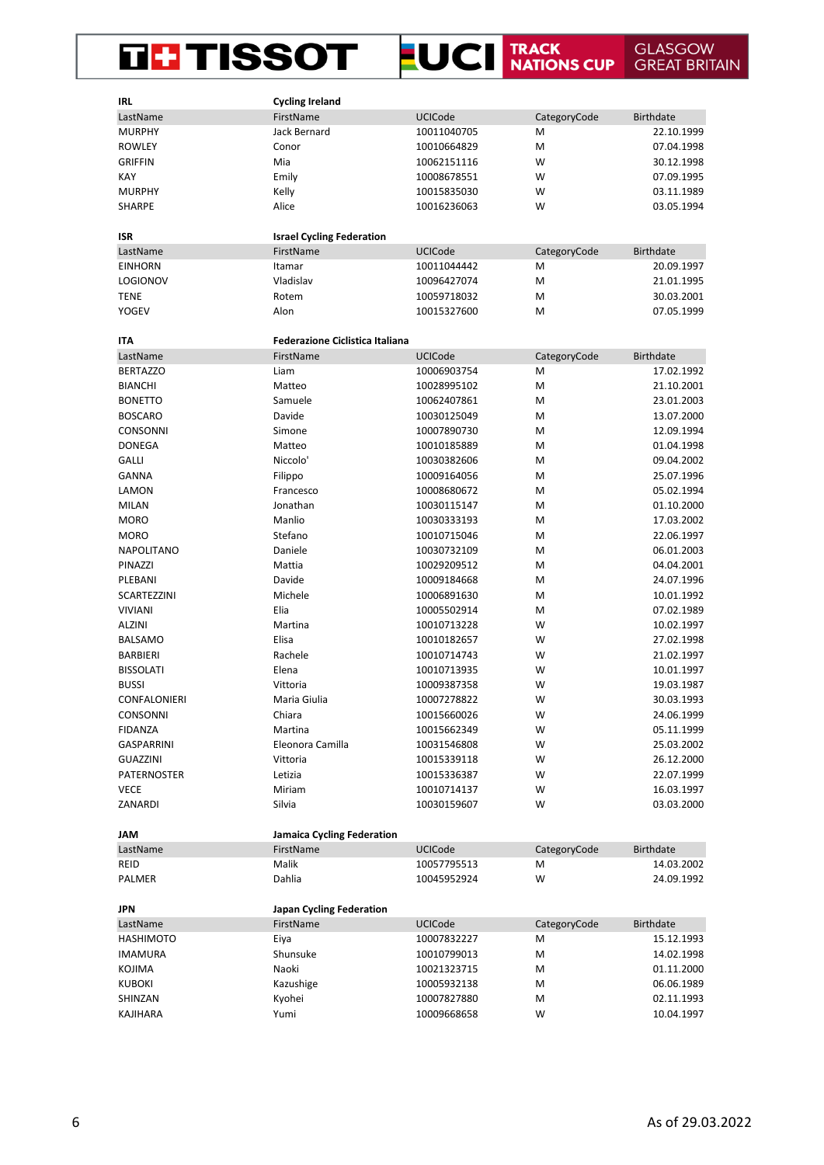#### **LUCI** TRACK NATIONS CUP **THE TISSOT GLASGOW GREAT BRITAIN**

| <b>IRL</b>         | <b>Cycling Ireland</b>                 |                |              |                  |
|--------------------|----------------------------------------|----------------|--------------|------------------|
| LastName           | FirstName                              | <b>UCICode</b> | CategoryCode | <b>Birthdate</b> |
| <b>MURPHY</b>      | Jack Bernard                           | 10011040705    | M            | 22.10.1999       |
| <b>ROWLEY</b>      | Conor                                  | 10010664829    | M            | 07.04.1998       |
| <b>GRIFFIN</b>     | Mia                                    | 10062151116    | W            | 30.12.1998       |
| <b>KAY</b>         | Emily                                  | 10008678551    | W            | 07.09.1995       |
| <b>MURPHY</b>      | Kelly                                  | 10015835030    | W            | 03.11.1989       |
| <b>SHARPE</b>      | Alice                                  | 10016236063    | W            | 03.05.1994       |
|                    |                                        |                |              |                  |
| <b>ISR</b>         | <b>Israel Cycling Federation</b>       |                |              |                  |
| LastName           | FirstName                              | <b>UCICode</b> | CategoryCode | <b>Birthdate</b> |
| <b>EINHORN</b>     | Itamar                                 | 10011044442    | M            | 20.09.1997       |
| <b>LOGIONOV</b>    | Vladislav                              | 10096427074    | M            | 21.01.1995       |
| <b>TENE</b>        | Rotem                                  | 10059718032    | M            | 30.03.2001       |
| <b>YOGEV</b>       | Alon                                   | 10015327600    | M            | 07.05.1999       |
|                    |                                        |                |              |                  |
| <b>ITA</b>         | <b>Federazione Ciclistica Italiana</b> |                |              |                  |
| LastName           | FirstName                              | <b>UCICode</b> | CategoryCode | <b>Birthdate</b> |
| <b>BERTAZZO</b>    | Liam                                   | 10006903754    | M            | 17.02.1992       |
| <b>BIANCHI</b>     | Matteo                                 | 10028995102    | M            | 21.10.2001       |
| <b>BONETTO</b>     | Samuele                                | 10062407861    | M            | 23.01.2003       |
| <b>BOSCARO</b>     | Davide                                 |                | M            | 13.07.2000       |
|                    |                                        | 10030125049    | M            |                  |
| CONSONNI           | Simone                                 | 10007890730    |              | 12.09.1994       |
| <b>DONEGA</b>      | Matteo                                 | 10010185889    | M            | 01.04.1998       |
| <b>GALLI</b>       | Niccolo <sup>'</sup>                   | 10030382606    | M            | 09.04.2002       |
| <b>GANNA</b>       | Filippo                                | 10009164056    | M            | 25.07.1996       |
| LAMON              | Francesco                              | 10008680672    | M            | 05.02.1994       |
| <b>MILAN</b>       | Jonathan                               | 10030115147    | M            | 01.10.2000       |
| <b>MORO</b>        | Manlio                                 | 10030333193    | M            | 17.03.2002       |
| <b>MORO</b>        | Stefano                                | 10010715046    | M            | 22.06.1997       |
| <b>NAPOLITANO</b>  | Daniele                                | 10030732109    | M            | 06.01.2003       |
| PINAZZI            | Mattia                                 | 10029209512    | M            | 04.04.2001       |
| PLEBANI            | Davide                                 | 10009184668    | M            | 24.07.1996       |
| SCARTEZZINI        | Michele                                | 10006891630    | M            | 10.01.1992       |
| <b>VIVIANI</b>     | Elia                                   | 10005502914    | M            | 07.02.1989       |
| <b>ALZINI</b>      | Martina                                | 10010713228    | W            | 10.02.1997       |
| <b>BALSAMO</b>     | Elisa                                  | 10010182657    | W            | 27.02.1998       |
| <b>BARBIERI</b>    | Rachele                                | 10010714743    | W            | 21.02.1997       |
| <b>BISSOLATI</b>   | Elena                                  | 10010713935    | W            | 10.01.1997       |
| <b>BUSSI</b>       | Vittoria                               | 10009387358    | W            | 19.03.1987       |
| CONFALONIERI       | Maria Giulia                           | 10007278822    | W            | 30.03.1993       |
| <b>CONSONNI</b>    | Chiara                                 | 10015660026    | W            | 24.06.1999       |
| <b>FIDANZA</b>     | Martina                                | 10015662349    | W            | 05.11.1999       |
| <b>GASPARRINI</b>  | Eleonora Camilla                       | 10031546808    | W            | 25.03.2002       |
| <b>GUAZZINI</b>    | Vittoria                               | 10015339118    | W            | 26.12.2000       |
| <b>PATERNOSTER</b> | Letizia                                | 10015336387    | W            | 22.07.1999       |
| <b>VECE</b>        | Miriam                                 | 10010714137    | W            | 16.03.1997       |
| ZANARDI            | Silvia                                 | 10030159607    | W            | 03.03.2000       |
|                    |                                        |                |              |                  |
| <b>JAM</b>         | Jamaica Cycling Federation             |                |              |                  |
| LastName           | FirstName                              | UCICode        | CategoryCode | <b>Birthdate</b> |
| <b>REID</b>        | Malik                                  | 10057795513    | М            | 14.03.2002       |
| PALMER             | Dahlia                                 | 10045952924    | W            | 24.09.1992       |
|                    |                                        |                |              |                  |
| <b>JPN</b>         | Japan Cycling Federation               |                |              |                  |
| LastName           | FirstName                              | UCICode        | CategoryCode | <b>Birthdate</b> |
| <b>HASHIMOTO</b>   | Eiya                                   | 10007832227    | М            | 15.12.1993       |
| <b>IMAMURA</b>     | Shunsuke                               | 10010799013    | M            | 14.02.1998       |
| KOJIMA             | Naoki                                  | 10021323715    | M            | 01.11.2000       |
| <b>KUBOKI</b>      | Kazushige                              | 10005932138    | M            | 06.06.1989       |
| SHINZAN            | Kyohei                                 | 10007827880    | M            | 02.11.1993       |
| KAJIHARA           | Yumi                                   | 10009668658    | W            | 10.04.1997       |
|                    |                                        |                |              |                  |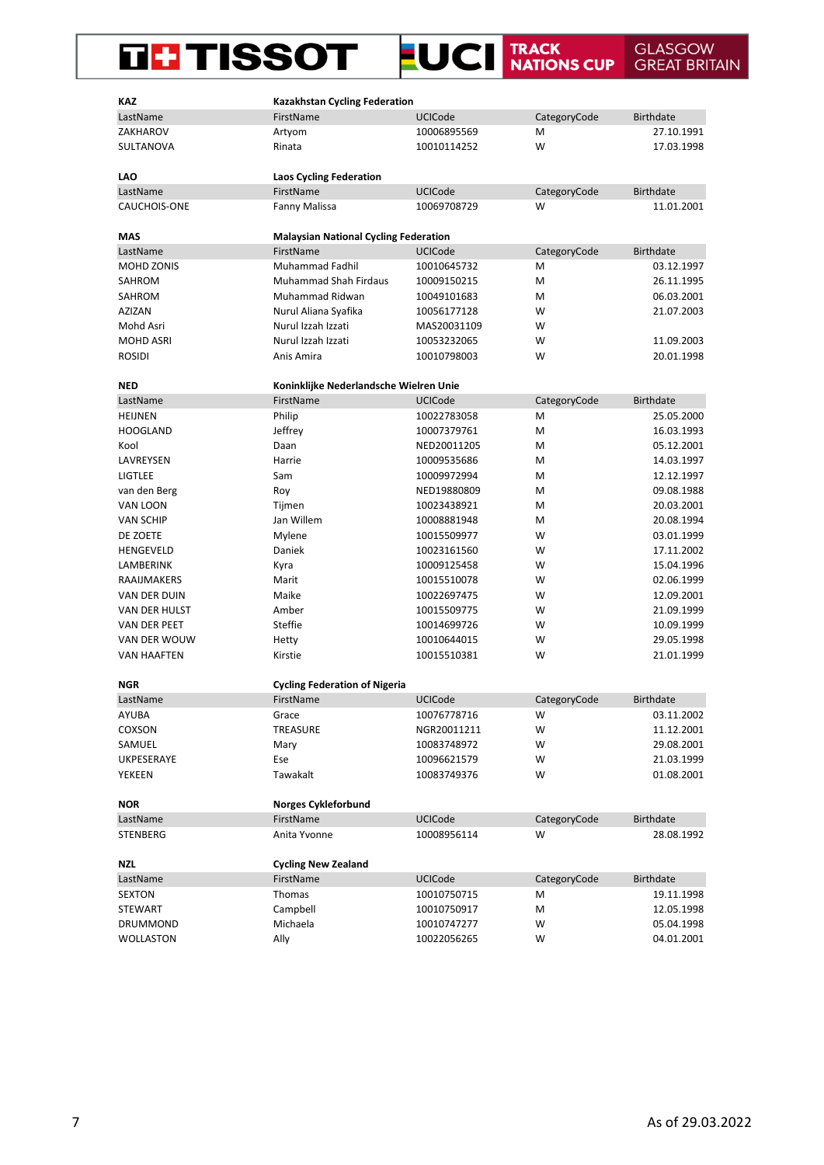# THISSOT LUCI TRACK GLASGOW GREAT BRITAIN

| <b>KAZ</b>         | <b>Kazakhstan Cycling Federation</b>         |                |              |                  |
|--------------------|----------------------------------------------|----------------|--------------|------------------|
| LastName           | FirstName                                    | <b>UCICode</b> | CategoryCode | <b>Birthdate</b> |
| ZAKHAROV           | Artyom                                       | 10006895569    | Μ            | 27.10.1991       |
| SULTANOVA          | Rinata                                       | 10010114252    | W            | 17.03.1998       |
|                    |                                              |                |              |                  |
| LAO                | <b>Laos Cycling Federation</b>               |                |              |                  |
| LastName           | FirstName                                    | <b>UCICode</b> | CategoryCode | <b>Birthdate</b> |
| CAUCHOIS-ONE       | Fanny Malissa                                | 10069708729    | W            | 11.01.2001       |
|                    |                                              |                |              |                  |
| MAS                | <b>Malaysian National Cycling Federation</b> |                |              |                  |
| LastName           | FirstName                                    | <b>UCICode</b> | CategoryCode | <b>Birthdate</b> |
| MOHD ZONIS         | Muhammad Fadhil                              | 10010645732    | Μ            | 03.12.1997       |
| SAHROM             | <b>Muhammad Shah Firdaus</b>                 | 10009150215    | M            | 26.11.1995       |
| SAHROM             | Muhammad Ridwan                              | 10049101683    | Μ            | 06.03.2001       |
| AZIZAN             | Nurul Aliana Syafika                         | 10056177128    | W            | 21.07.2003       |
| Mohd Asri          | Nurul Izzah Izzati                           | MAS20031109    | W            |                  |
| <b>MOHD ASRI</b>   | Nurul Izzah Izzati                           | 10053232065    | w            | 11.09.2003       |
| <b>ROSIDI</b>      | Anis Amira                                   | 10010798003    | W            | 20.01.1998       |
| <b>NED</b>         | Koninklijke Nederlandsche Wielren Unie       |                |              |                  |
| LastName           | FirstName                                    | UCICode        | CategoryCode | <b>Birthdate</b> |
| <b>HEIJNEN</b>     | Philip                                       | 10022783058    | M            | 25.05.2000       |
| <b>HOOGLAND</b>    | Jeffrey                                      | 10007379761    | M            | 16.03.1993       |
| Kool               | Daan                                         | NED20011205    | Μ            | 05.12.2001       |
| LAVREYSEN          | Harrie                                       | 10009535686    | М            | 14.03.1997       |
| <b>LIGTLEE</b>     | Sam                                          | 10009972994    | M            | 12.12.1997       |
| van den Berg       | Roy                                          | NED19880809    | M            | 09.08.1988       |
| VAN LOON           | Tijmen                                       | 10023438921    | M            | 20.03.2001       |
| VAN SCHIP          | Jan Willem                                   | 10008881948    | М            | 20.08.1994       |
| DE ZOETE           | Mylene                                       | 10015509977    | w            | 03.01.1999       |
| HENGEVELD          | Daniek                                       | 10023161560    | W            | 17.11.2002       |
| LAMBERINK          | Kyra                                         | 10009125458    | W            | 15.04.1996       |
| RAAIJMAKERS        | Marit                                        | 10015510078    | W            | 02.06.1999       |
| VAN DER DUIN       | Maike                                        | 10022697475    | W            | 12.09.2001       |
| VAN DER HULST      | Amber                                        | 10015509775    | w            | 21.09.1999       |
| VAN DER PEET       | Steffie                                      | 10014699726    | W            | 10.09.1999       |
| VAN DER WOUW       | Hetty                                        | 10010644015    | W            | 29.05.1998       |
| <b>VAN HAAFTEN</b> | Kirstie                                      | 10015510381    | W            | 21.01.1999       |
|                    |                                              |                |              |                  |
| <b>NGR</b>         | <b>Cycling Federation of Nigeria</b>         |                |              |                  |
| LastName           | FirstName                                    | UCICode        | CategoryCode | Birthdate        |
| AYUBA              | Grace                                        | 10076778716    | W            | 03.11.2002       |
| COXSON             | TREASURE                                     | NGR20011211    | W            | 11.12.2001       |
| SAMUEL             | Mary                                         | 10083748972    | W            | 29.08.2001       |
| UKPESERAYE         | Ese                                          | 10096621579    | W            | 21.03.1999       |
| YEKEEN             | Tawakalt                                     | 10083749376    | W            | 01.08.2001       |
|                    |                                              |                |              |                  |
| <b>NOR</b>         | Norges Cykleforbund                          |                |              |                  |
| LastName           | FirstName                                    | UCICode        | CategoryCode | <b>Birthdate</b> |
| STENBERG           | Anita Yvonne                                 | 10008956114    | w            | 28.08.1992       |
|                    |                                              |                |              |                  |
| <b>NZL</b>         | <b>Cycling New Zealand</b>                   |                |              |                  |
| LastName           | FirstName                                    | <b>UCICode</b> | CategoryCode | <b>Birthdate</b> |
| SEXTON             | Thomas                                       | 10010750715    | М            | 19.11.1998       |
| STEWART            | Campbell                                     | 10010750917    | М            | 12.05.1998       |
| DRUMMOND           | Michaela                                     | 10010747277    | W            | 05.04.1998       |
| <b>WOLLASTON</b>   | Ally                                         | 10022056265    | W            | 04.01.2001       |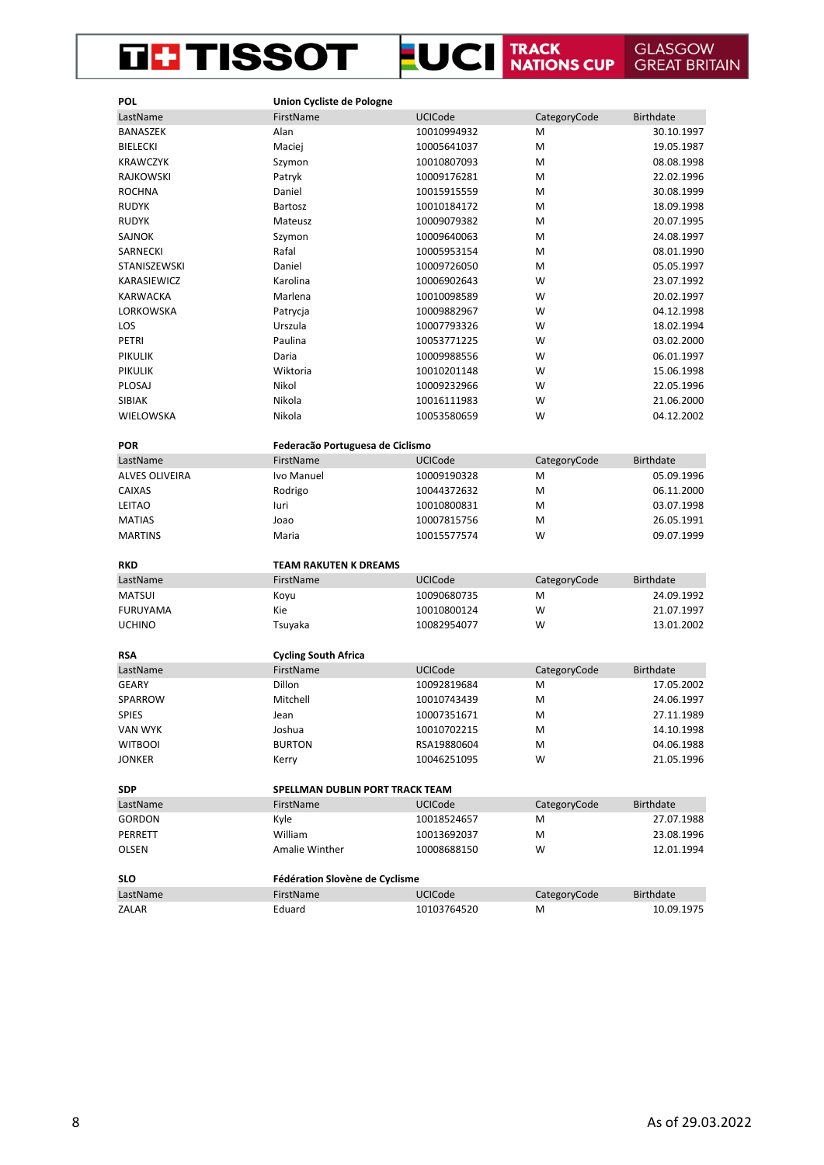#### **LUCI** TRACK NATIONS CUP **THE TISSOT GLASGOW<br>GREAT BRITAIN**

| <b>POL</b>            | Union Cycliste de Pologne        |                |              |                  |
|-----------------------|----------------------------------|----------------|--------------|------------------|
| LastName              | FirstName                        | UCICode        | CategoryCode | <b>Birthdate</b> |
| BANASZEK              | Alan                             | 10010994932    | M            | 30.10.1997       |
| <b>BIELECKI</b>       | Maciej                           | 10005641037    | M            | 19.05.1987       |
| <b>KRAWCZYK</b>       | Szymon                           | 10010807093    | M            | 08.08.1998       |
| RAJKOWSKI             | Patryk                           | 10009176281    | M            | 22.02.1996       |
| <b>ROCHNA</b>         | Daniel                           | 10015915559    | M            | 30.08.1999       |
| <b>RUDYK</b>          | Bartosz                          | 10010184172    | M            | 18.09.1998       |
| <b>RUDYK</b>          | Mateusz                          | 10009079382    | M            | 20.07.1995       |
| <b>SAJNOK</b>         | Szymon                           | 10009640063    | M            | 24.08.1997       |
| SARNECKI              | Rafal                            | 10005953154    | M            | 08.01.1990       |
| STANISZEWSKI          | Daniel                           | 10009726050    | M            | 05.05.1997       |
| KARASIEWICZ           | Karolina                         | 10006902643    | W            | 23.07.1992       |
| <b>KARWACKA</b>       | Marlena                          | 10010098589    | W            | 20.02.1997       |
| LORKOWSKA             | Patrycja                         | 10009882967    | W            | 04.12.1998       |
| LOS                   | Urszula                          | 10007793326    | W            | 18.02.1994       |
| PETRI                 | Paulina                          | 10053771225    | W            | 03.02.2000       |
| <b>PIKULIK</b>        | Daria                            | 10009988556    | W            | 06.01.1997       |
| <b>PIKULIK</b>        | Wiktoria                         | 10010201148    | W            | 15.06.1998       |
| PLOSAJ                | Nikol                            | 10009232966    | W            | 22.05.1996       |
| SIBIAK                | Nikola                           | 10016111983    | W            | 21.06.2000       |
| WIELOWSKA             | Nikola                           | 10053580659    | W            | 04.12.2002       |
|                       |                                  |                |              |                  |
| <b>POR</b>            | Federação Portuguesa de Ciclismo |                |              |                  |
| LastName              | FirstName                        | <b>UCICode</b> | CategoryCode | <b>Birthdate</b> |
| <b>ALVES OLIVEIRA</b> | Ivo Manuel                       | 10009190328    | M            | 05.09.1996       |
| <b>CAIXAS</b>         | Rodrigo                          | 10044372632    | M            | 06.11.2000       |
| <b>LEITAO</b>         | luri                             | 10010800831    | M            | 03.07.1998       |
| <b>MATIAS</b>         | Joao                             | 10007815756    | M            | 26.05.1991       |
| <b>MARTINS</b>        | Maria                            | 10015577574    | W            | 09.07.1999       |
|                       |                                  |                |              |                  |
| <b>RKD</b>            | <b>TEAM RAKUTEN K DREAMS</b>     |                |              |                  |
| LastName              | FirstName                        | <b>UCICode</b> | CategoryCode | <b>Birthdate</b> |
| <b>MATSUI</b>         | Koyu                             | 10090680735    | M            | 24.09.1992       |
| <b>FURUYAMA</b>       | Kie                              | 10010800124    | W            | 21.07.1997       |
| <b>UCHINO</b>         | Tsuyaka                          | 10082954077    | W            | 13.01.2002       |
|                       |                                  |                |              |                  |
| <b>RSA</b>            | <b>Cycling South Africa</b>      |                |              |                  |
| LastName              | FirstName                        | <b>UCICode</b> | CategoryCode | <b>Birthdate</b> |
| <b>GEARY</b>          | Dillon                           | 10092819684    | M            | 17.05.2002       |
| SPARROW               | Mitchell                         | 10010743439    | M            | 24.06.1997       |
| <b>SPIES</b>          | Jean                             | 10007351671    | M            | 27.11.1989       |
| VAN WYK               | Joshua                           | 10010702215    | Μ            | 14.10.1998       |
| <b>WITBOOI</b>        | <b>BURTON</b>                    | RSA19880604    | M            | 04.06.1988       |
| <b>JONKER</b>         | Kerry                            | 10046251095    | W            | 21.05.1996       |
|                       |                                  |                |              |                  |
| <b>SDP</b>            | SPELLMAN DUBLIN PORT TRACK TEAM  |                |              |                  |
| LastName              | FirstName                        | <b>UCICode</b> | CategoryCode | <b>Birthdate</b> |
| <b>GORDON</b>         | Kyle                             | 10018524657    | м            | 27.07.1988       |
| PERRETT               | William                          | 10013692037    | M            | 23.08.1996       |
| OLSEN                 | Amalie Winther                   | 10008688150    | W            | 12.01.1994       |
|                       |                                  |                |              |                  |
| <b>SLO</b>            | Fédération Slovène de Cyclisme   |                |              |                  |
| LastName              | FirstName                        | UCICode        | CategoryCode | <b>Birthdate</b> |
| ZALAR                 | Eduard                           | 10103764520    | M            | 10.09.1975       |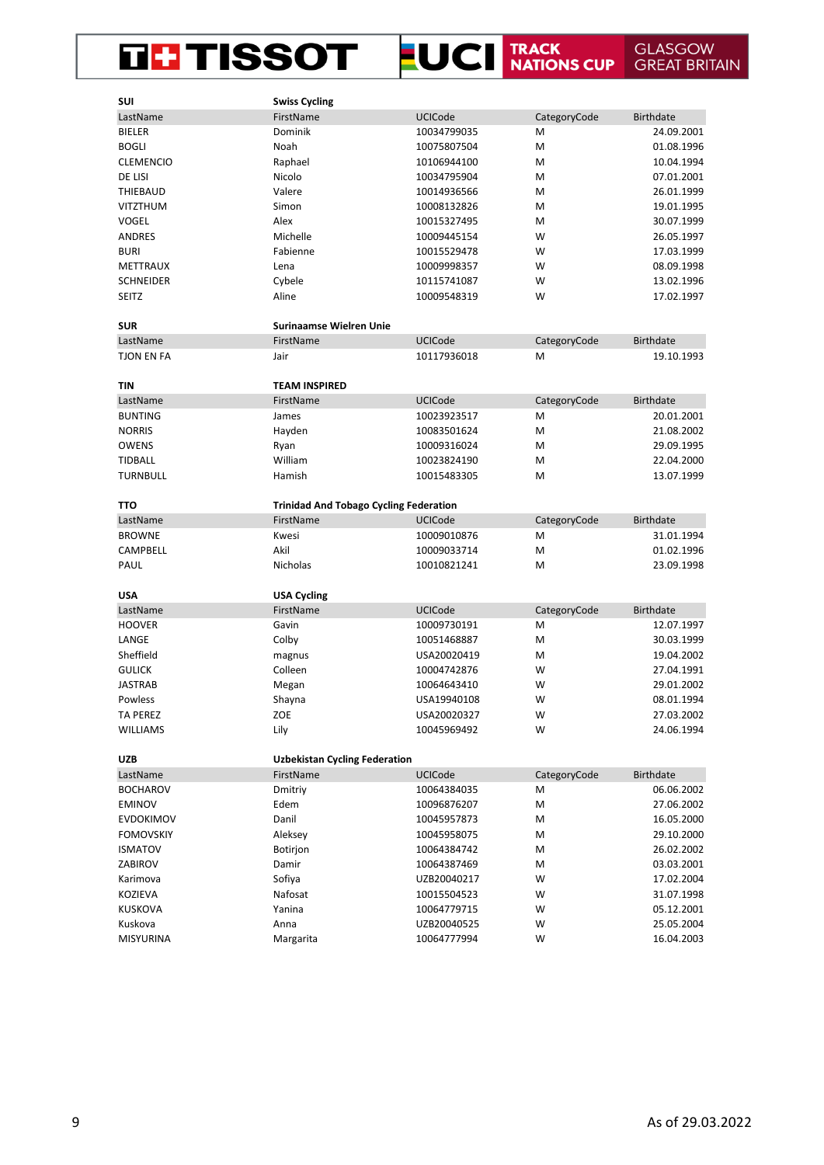## **EUCI TRACK GLASGOW GREAT BRITAIN THE TISSOT**

| SUI               | <b>Swiss Cycling</b>                          |                |              |                  |
|-------------------|-----------------------------------------------|----------------|--------------|------------------|
| LastName          | FirstName                                     | UCICode        | CategoryCode | <b>Birthdate</b> |
| <b>BIELER</b>     | Dominik                                       | 10034799035    | Μ            | 24.09.2001       |
| <b>BOGLI</b>      | Noah                                          | 10075807504    | M            | 01.08.1996       |
| <b>CLEMENCIO</b>  | Raphael                                       | 10106944100    | M            | 10.04.1994       |
| DE LISI           | Nicolo                                        | 10034795904    | M            | 07.01.2001       |
| THIEBAUD          | Valere                                        | 10014936566    | M            | 26.01.1999       |
| VITZTHUM          | Simon                                         | 10008132826    | M            | 19.01.1995       |
| <b>VOGEL</b>      | Alex                                          | 10015327495    | M            | 30.07.1999       |
| <b>ANDRES</b>     | Michelle                                      | 10009445154    | W            | 26.05.1997       |
| <b>BURI</b>       | Fabienne                                      | 10015529478    | W            | 17.03.1999       |
| METTRAUX          | Lena                                          | 10009998357    | W            | 08.09.1998       |
| <b>SCHNEIDER</b>  | Cybele                                        | 10115741087    | W            | 13.02.1996       |
| <b>SEITZ</b>      | Aline                                         | 10009548319    | W            | 17.02.1997       |
|                   |                                               |                |              |                  |
| <b>SUR</b>        | <b>Surinaamse Wielren Unie</b>                |                |              |                  |
| LastName          | FirstName                                     | <b>UCICode</b> | CategoryCode | <b>Birthdate</b> |
| <b>TJON EN FA</b> | Jair                                          | 10117936018    | М            | 19.10.1993       |
|                   |                                               |                |              |                  |
| <b>TIN</b>        | <b>TEAM INSPIRED</b>                          |                |              |                  |
| LastName          | FirstName                                     | UCICode        | CategoryCode | <b>Birthdate</b> |
| <b>BUNTING</b>    | James                                         | 10023923517    | M            | 20.01.2001       |
| <b>NORRIS</b>     | Hayden                                        | 10083501624    | M            | 21.08.2002       |
| <b>OWENS</b>      | Ryan                                          | 10009316024    | M            | 29.09.1995       |
| <b>TIDBALL</b>    | William                                       | 10023824190    | M            | 22.04.2000       |
| <b>TURNBULL</b>   | Hamish                                        | 10015483305    | M            | 13.07.1999       |
|                   |                                               |                |              |                  |
| тто               | <b>Trinidad And Tobago Cycling Federation</b> |                |              |                  |
| LastName          | FirstName                                     | <b>UCICode</b> | CategoryCode | <b>Birthdate</b> |
| <b>BROWNE</b>     | Kwesi                                         | 10009010876    | M            | 31.01.1994       |
| CAMPBELL          | Akil                                          | 10009033714    | M            | 01.02.1996       |
| PAUL              | Nicholas                                      | 10010821241    | M            | 23.09.1998       |
|                   |                                               |                |              |                  |
| <b>USA</b>        | <b>USA Cycling</b>                            |                |              |                  |
| LastName          | FirstName                                     | <b>UCICode</b> | CategoryCode | <b>Birthdate</b> |
| <b>HOOVER</b>     | Gavin                                         | 10009730191    | M            | 12.07.1997       |
| LANGE             | Colby                                         | 10051468887    | M            | 30.03.1999       |
| Sheffield         | magnus                                        | USA20020419    | M            | 19.04.2002       |
| <b>GULICK</b>     | Colleen                                       | 10004742876    | W            | 27.04.1991       |
| <b>JASTRAB</b>    | Megan                                         | 10064643410    | W            | 29.01.2002       |
| Powless           | Shayna                                        | USA19940108    | W            | 08.01.1994       |
| <b>TA PEREZ</b>   | ZOE                                           | USA20020327    | W            | 27.03.2002       |
| <b>WILLIAMS</b>   | Lily                                          | 10045969492    | W            | 24.06.1994       |
|                   |                                               |                |              |                  |
| <b>UZB</b>        | <b>Uzbekistan Cycling Federation</b>          |                |              |                  |
| LastName          | FirstName                                     | <b>UCICode</b> | CategoryCode | <b>Birthdate</b> |
| <b>BOCHAROV</b>   | Dmitriy                                       | 10064384035    | Μ            | 06.06.2002       |
| <b>EMINOV</b>     | Edem                                          | 10096876207    | M            | 27.06.2002       |
| <b>EVDOKIMOV</b>  | Danil                                         | 10045957873    | M            | 16.05.2000       |
| <b>FOMOVSKIY</b>  | Aleksey                                       | 10045958075    | M            | 29.10.2000       |
| <b>ISMATOV</b>    | Botirjon                                      | 10064384742    | M            | 26.02.2002       |
| ZABIROV           | Damir                                         | 10064387469    | M            | 03.03.2001       |
| Karimova          | Sofiya                                        | UZB20040217    | W            | 17.02.2004       |
| KOZIEVA           | Nafosat                                       | 10015504523    | W            | 31.07.1998       |
| KUSKOVA           | Yanina                                        | 10064779715    | W            | 05.12.2001       |
| Kuskova           | Anna                                          | UZB20040525    | W            | 25.05.2004       |
| MISYURINA         | Margarita                                     | 10064777994    | W            | 16.04.2003       |
|                   |                                               |                |              |                  |